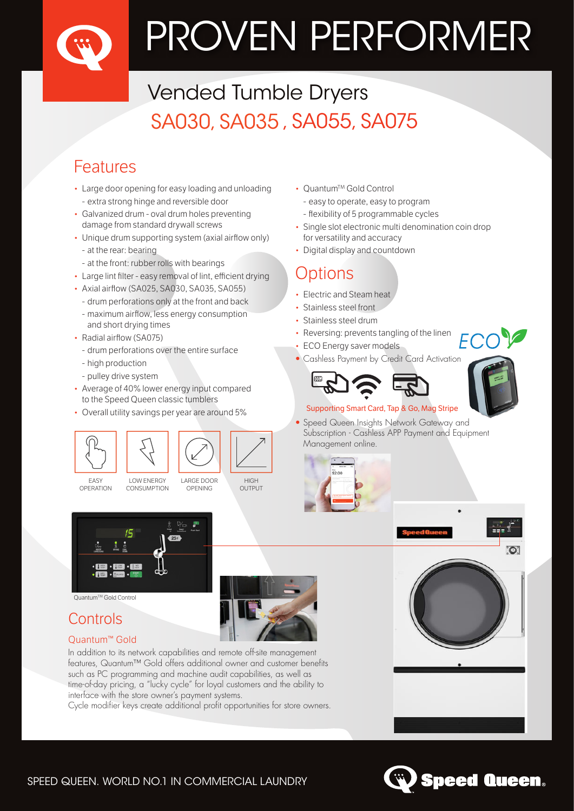# PROVEN PERFORMER

## Vended Tumble Dryers SA030, SA035 , SA055, SA075

## Features

- Large door opening for easy loading and unloading - extra strong hinge and reversible door
- Galvanized drum oval drum holes preventing damage from standard drywall screws
- Unique drum supporting system (axial airflow only)
- at the rear: bearing
- at the front: rubber rolls with bearings
- Large lint filter easy removal of lint, efficient drying
- Axial airflow (SA025, SA030, SA035, SA055)
- drum perforations only at the front and back
- maximum airflow, less energy consumption and short drying times
- Radial airflow (SA075)
- drum perforations over the entire surface
- high production
- pulley drive system
- Average of 40% lower energy input compared to the Speed Queen classic tumblers
- Overall utility savings per year are around 5%



OPENING

OPERATION

CONSUMPTION





#### QuantumTM Gold Control

## Controls

#### Quantum<sup>™</sup> Gold

In addition to its network capabilities and remote off-site management features, Quantum™ Gold offers additional owner and customer benefits such as PC programming and machine audit capabilities, as well as time-of-day pricing, a "lucky cycle" for loyal customers and the ability to interface with the store owner's payment systems.

Cycle modifier keys create additional profit opportunities for store owners.

- Quantum™ Gold Control
	- easy to operate, easy to program
- flexibility of 5 programmable cycles
- Single slot electronic multi denomination coin drop for versatility and accuracy
- Digital display and countdown

## Options

- Electric and Steam heat
- Stainless steel front
- Stainless steel drum
- Reversing: prevents tangling of the linen
- **ECO Energy saver models**
- Cashless Payment by Credit Card Activation



#### Supporting Smart Card, Tap & Go, Mag Stripe

• Speed Queen Insights Network Gateway and Subscription - Cashless APP Payment and Equipment Management online.









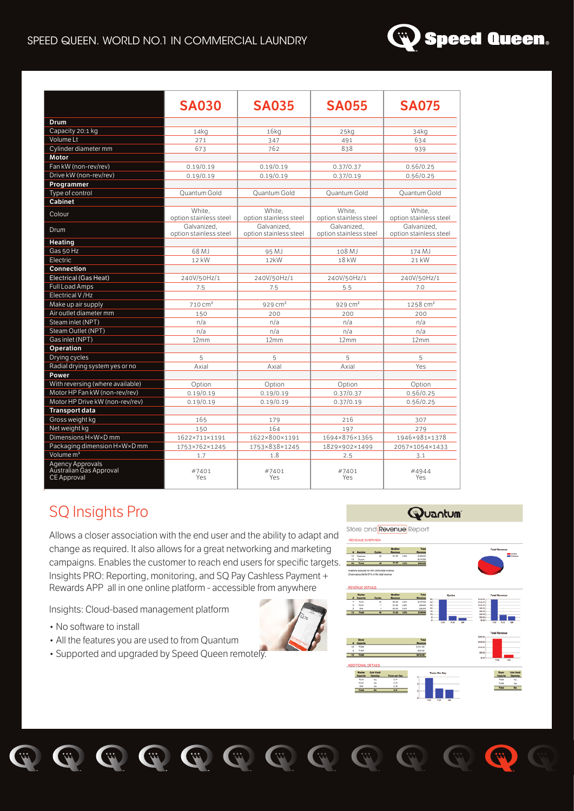#### SPEED QUEEN. WORLD NO.1 IN COMMERCIAL LAUNDRY



|                                                                   | <b>SA030</b>                          | <b>SA035</b>                          | <b>SA055</b>                          | <b>SA075</b>                          |
|-------------------------------------------------------------------|---------------------------------------|---------------------------------------|---------------------------------------|---------------------------------------|
| Drum                                                              |                                       |                                       |                                       |                                       |
| Capacity 20:1 kg                                                  | 14kq                                  | $16k$ q                               | 25kg                                  | 34kg                                  |
| Volume Lt                                                         | 271                                   | 347                                   | 491                                   | 634                                   |
| Cylinder diameter mm                                              | 673                                   | 762                                   | 838                                   | 939                                   |
| Motor                                                             |                                       |                                       |                                       |                                       |
| Fan kW (non-rev/rev)                                              | 0.19/0.19                             | 0.19/0.19                             | 0.37/0.37                             | 0.56/0.25                             |
| Drive kW (non-rev/rev)                                            | 0.19/0.19                             | 0.19/0.19                             | 0.37/0.19                             | 0.56/0.25                             |
| Programmer                                                        |                                       |                                       |                                       |                                       |
| Type of control                                                   | <b>Ouantum Gold</b>                   | Ouantum Gold                          | Ouantum Gold                          | Ouantum Gold                          |
| <b>Cabinet</b>                                                    |                                       |                                       |                                       |                                       |
| Colour                                                            | White,<br>option stainless steel      | White.<br>option stainless steel      | White.<br>option stainless steel      | White.<br>option stainless steel      |
| Drum                                                              | Galvanized.<br>option stainless steel | Galvanized.<br>option stainless steel | Galvanized.<br>option stainless steel | Galvanized.<br>option stainless steel |
| Heating                                                           |                                       |                                       |                                       |                                       |
| Gas 50 Hz                                                         | 68 MJ                                 | 95 MJ                                 | 108 MJ                                | 174 MJ                                |
| Electric                                                          | 12 kW                                 | 12kW                                  | 18 kW                                 | 21 kW                                 |
| Connection                                                        |                                       |                                       |                                       |                                       |
| Electrical (Gas Heat)                                             | 240V/50Hz/1                           | 240V/50Hz/1                           | 240V/50Hz/1                           | 240V/50Hz/1                           |
| <b>Full Load Amps</b>                                             | 7.5                                   | 7.5                                   | 5.5                                   | 7.0                                   |
| Electrical V/Hz                                                   |                                       |                                       |                                       |                                       |
| Make up air supply                                                | 710 cm <sup>2</sup>                   | $929$ cm <sup>2</sup>                 | $929$ cm <sup>2</sup>                 | 1258 cm <sup>2</sup>                  |
| Air outlet diameter mm                                            | 150                                   | 200                                   | 200                                   | 200                                   |
| Steam inlet (NPT)                                                 | n/a                                   | n/a                                   | n/a                                   | n/a                                   |
| Steam Outlet (NPT)                                                | n/a                                   | n/a                                   | n/a                                   | n/a                                   |
| Gas inlet (NPT)                                                   | 12mm                                  | 12mm                                  | 12mm                                  | 12mm                                  |
| Operation                                                         |                                       |                                       |                                       |                                       |
| Drying cycles                                                     | 5                                     | 5                                     | 5                                     | 5                                     |
| Radial drying system yes or no                                    | Axial                                 | Axial                                 | Axial                                 | <b>Yes</b>                            |
| Power                                                             |                                       |                                       |                                       |                                       |
| With reversing (where available)                                  | Option                                | Option                                | Option                                | Option                                |
| Motor HP Fan kW (non-rev/rev)                                     | 0.19/0.19                             | 0.19/0.19                             | 0.37/0.37                             | 0.56/0.25                             |
| Motor HP Drive kW (non-rev/rev)                                   | 0.19/0.19                             | 0.19/0.19                             | 0.37/0.19                             | 0.56/0.25                             |
| <b>Transport data</b>                                             |                                       |                                       |                                       |                                       |
| Gross weight kg                                                   | 165                                   | 179                                   | 216                                   | 307                                   |
| Net weight kg                                                     | 150                                   | 164                                   | 197                                   | 279                                   |
| Dimensions H×W×D mm                                               | 1622×711×1191                         | 1622×800×1191                         | 1694×876×1365                         | 1946×981×1378                         |
| Packaging dimension H×W×D mm                                      | 1753×762×1245                         | 1753×838×1245                         | 1829×902×1499                         | 2057×1054×1433                        |
| Volume <sub>3</sub>                                               | 1.7                                   | 1.8                                   | 2.5                                   | 3.1                                   |
| Agency Approvals<br>Australian Gas Approval<br><b>CE Approval</b> | #7401<br>Yes                          | #7401<br>Yes                          | #7401<br>Yes                          | #4944<br>Yes                          |

## SQ Insights Pro

Allows a closer association with the end user and the ability to adapt and change as required. It also allows for a great networking and marketing campaigns. Enables the customer to reach end users for specific targets.  $\frac{1}{2}$ Insights PRO: Reporting, monitoring, and SQ Pay Cashless Payment + Rewards APP all in one online platform - accessible from anywhere

 $\ddot{y}$ 

Insights: Cloud-based management platform

- No software to install
- All the features you are used to from Quantum
- Supported and upgraded by Speed Queen remotely.

 $\ddot{y}$ 

#### **Wuantum**

Store and Revenue Report



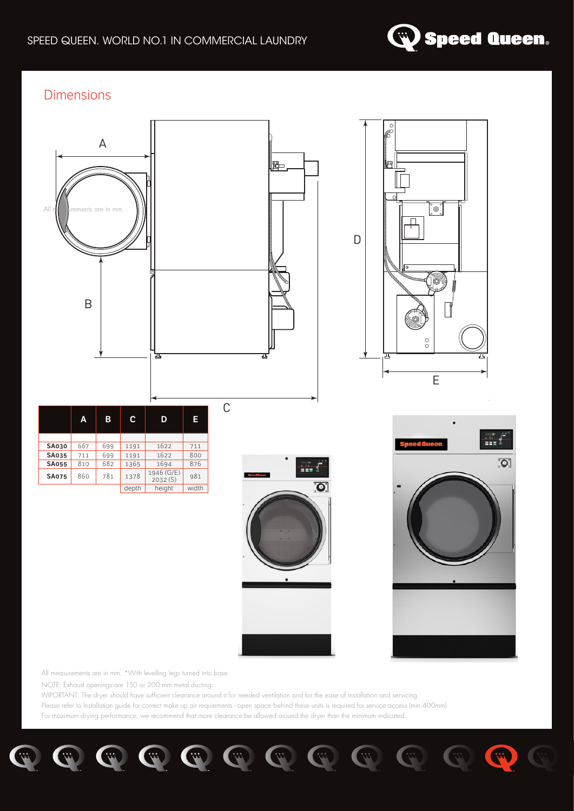

33

#### **Dimensions**



All measurements are in mm. \*With levelling legs turned into base.

NOTE: Exhaust openings are 150 or 200 mm metal ducting.

IMPORTANT: The dryer should have sufficient clearance around it for needed ventilation and for the ease of installation and servicing. Please refer to Installation guide for correct make up air requiements - open space behind these units is required for service access (min 400mm)

For maximum drying performance, we recommend that more clearance be allowed around the dryer than the minimum indicated.